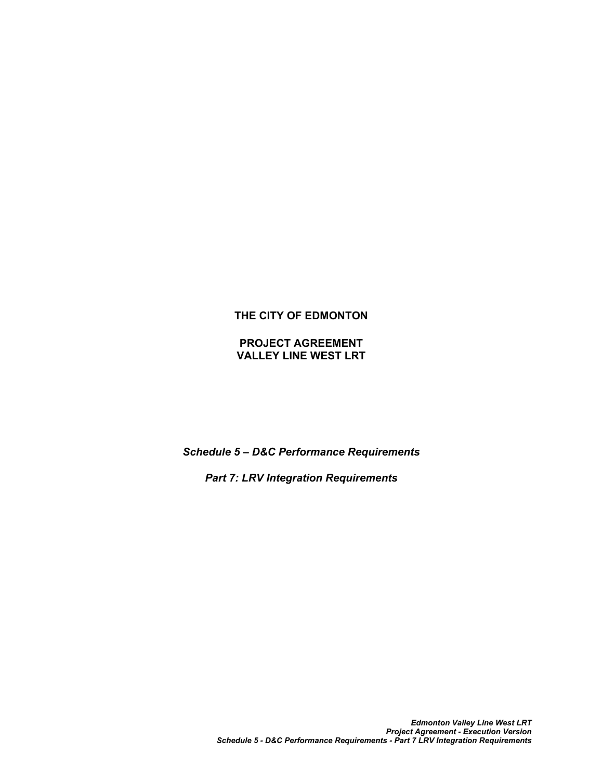# **THE CITY OF EDMONTON**

**PROJECT AGREEMENT VALLEY LINE WEST LRT**

*Schedule 5 – D&C Performance Requirements*

*Part 7: LRV Integration Requirements*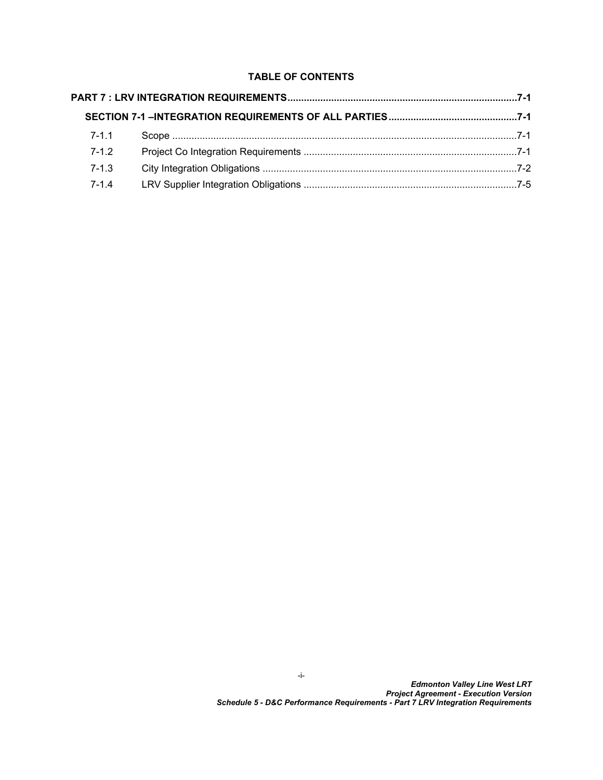# **TABLE OF CONTENTS**

| $7 - 1.1$ |
|-----------|
| $7 - 1.2$ |
| $7 - 1.3$ |
| $7 - 1.4$ |
|           |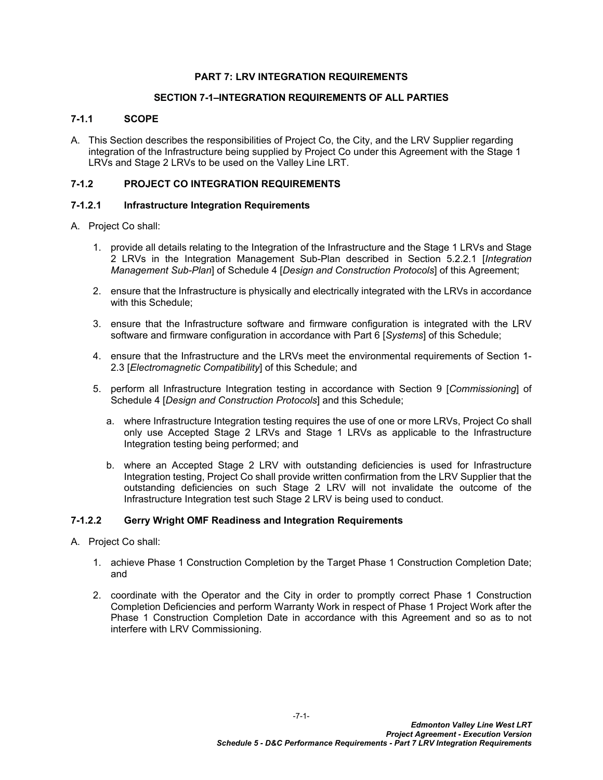### <span id="page-2-0"></span>**PART 7: LRV INTEGRATION REQUIREMENTS**

## <span id="page-2-1"></span>**SECTION 7-1–INTEGRATION REQUIREMENTS OF ALL PARTIES**

#### <span id="page-2-2"></span>**7-1.1 SCOPE**

A. This Section describes the responsibilities of Project Co, the City, and the LRV Supplier regarding integration of the Infrastructure being supplied by Project Co under this Agreement with the Stage 1 LRVs and Stage 2 LRVs to be used on the Valley Line LRT.

# <span id="page-2-3"></span>**7-1.2 PROJECT CO INTEGRATION REQUIREMENTS**

#### **7-1.2.1 Infrastructure Integration Requirements**

#### A. Project Co shall:

- 1. provide all details relating to the Integration of the Infrastructure and the Stage 1 LRVs and Stage 2 LRVs in the Integration Management Sub-Plan described in Section 5.2.2.1 [*Integration Management Sub-Plan*] of Schedule 4 [*Design and Construction Protocols*] of this Agreement;
- 2. ensure that the Infrastructure is physically and electrically integrated with the LRVs in accordance with this Schedule;
- 3. ensure that the Infrastructure software and firmware configuration is integrated with the LRV software and firmware configuration in accordance with Part 6 [*Systems*] of this Schedule;
- 4. ensure that the Infrastructure and the LRVs meet the environmental requirements of Section 1- 2.3 [*Electromagnetic Compatibility*] of this Schedule; and
- 5. perform all Infrastructure Integration testing in accordance with Section 9 [*Commissioning*] of Schedule 4 [*Design and Construction Protocols*] and this Schedule;
	- a. where Infrastructure Integration testing requires the use of one or more LRVs, Project Co shall only use Accepted Stage 2 LRVs and Stage 1 LRVs as applicable to the Infrastructure Integration testing being performed; and
	- b. where an Accepted Stage 2 LRV with outstanding deficiencies is used for Infrastructure Integration testing, Project Co shall provide written confirmation from the LRV Supplier that the outstanding deficiencies on such Stage 2 LRV will not invalidate the outcome of the Infrastructure Integration test such Stage 2 LRV is being used to conduct.

#### **7-1.2.2 Gerry Wright OMF Readiness and Integration Requirements**

- A. Project Co shall:
	- 1. achieve Phase 1 Construction Completion by the Target Phase 1 Construction Completion Date; and
	- 2. coordinate with the Operator and the City in order to promptly correct Phase 1 Construction Completion Deficiencies and perform Warranty Work in respect of Phase 1 Project Work after the Phase 1 Construction Completion Date in accordance with this Agreement and so as to not interfere with LRV Commissioning.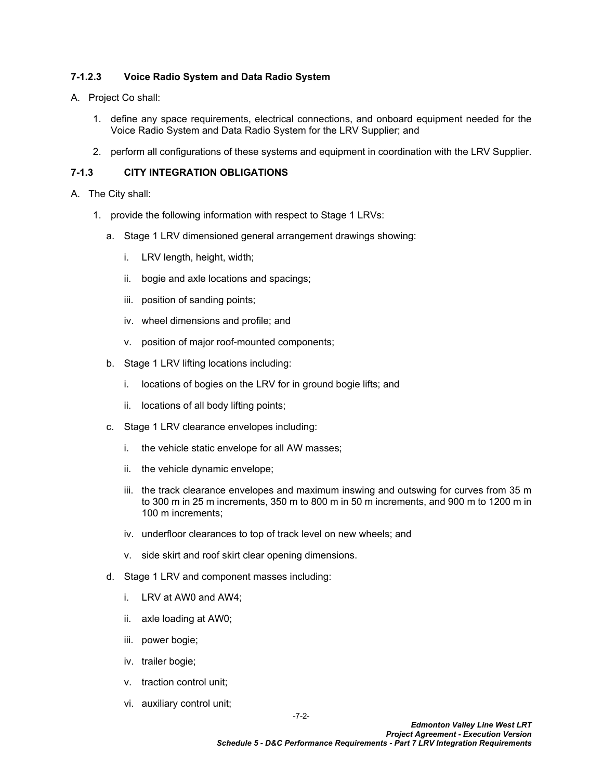## **7-1.2.3 Voice Radio System and Data Radio System**

- A. Project Co shall:
	- 1. define any space requirements, electrical connections, and onboard equipment needed for the Voice Radio System and Data Radio System for the LRV Supplier; and
	- 2. perform all configurations of these systems and equipment in coordination with the LRV Supplier.

## <span id="page-3-0"></span>**7-1.3 CITY INTEGRATION OBLIGATIONS**

- A. The City shall:
	- 1. provide the following information with respect to Stage 1 LRVs:
		- a. Stage 1 LRV dimensioned general arrangement drawings showing:
			- i. LRV length, height, width;
			- ii. bogie and axle locations and spacings;
			- iii. position of sanding points;
			- iv. wheel dimensions and profile; and
			- v. position of major roof-mounted components;
		- b. Stage 1 LRV lifting locations including:
			- i. locations of bogies on the LRV for in ground bogie lifts; and
			- ii. locations of all body lifting points;
		- c. Stage 1 LRV clearance envelopes including:
			- i. the vehicle static envelope for all AW masses;
			- ii. the vehicle dynamic envelope;
			- iii. the track clearance envelopes and maximum inswing and outswing for curves from 35 m to 300 m in 25 m increments, 350 m to 800 m in 50 m increments, and 900 m to 1200 m in 100 m increments;
			- iv. underfloor clearances to top of track level on new wheels; and
			- v. side skirt and roof skirt clear opening dimensions.
		- d. Stage 1 LRV and component masses including:
			- i. LRV at AW0 and AW4;
			- ii. axle loading at AW0;
			- iii. power bogie;
			- iv. trailer bogie;
			- v. traction control unit;
			- vi. auxiliary control unit;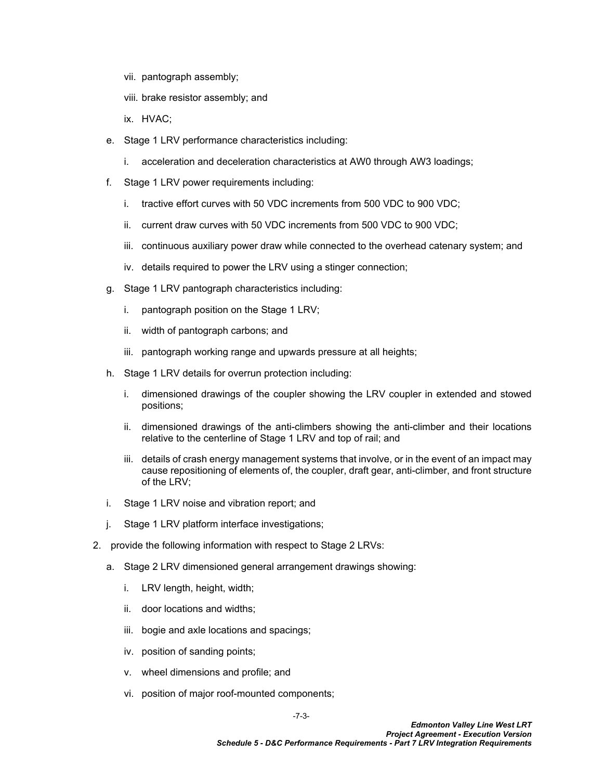- vii. pantograph assembly;
- viii. brake resistor assembly; and
- ix. HVAC;
- e. Stage 1 LRV performance characteristics including:
	- i. acceleration and deceleration characteristics at AW0 through AW3 loadings;
- f. Stage 1 LRV power requirements including:
	- i. tractive effort curves with 50 VDC increments from 500 VDC to 900 VDC;
	- ii. current draw curves with 50 VDC increments from 500 VDC to 900 VDC;
	- iii. continuous auxiliary power draw while connected to the overhead catenary system; and
	- iv. details required to power the LRV using a stinger connection;
- g. Stage 1 LRV pantograph characteristics including:
	- i. pantograph position on the Stage 1 LRV;
	- ii. width of pantograph carbons; and
	- iii. pantograph working range and upwards pressure at all heights;
- h. Stage 1 LRV details for overrun protection including:
	- i. dimensioned drawings of the coupler showing the LRV coupler in extended and stowed positions;
	- ii. dimensioned drawings of the anti-climbers showing the anti-climber and their locations relative to the centerline of Stage 1 LRV and top of rail; and
	- iii. details of crash energy management systems that involve, or in the event of an impact may cause repositioning of elements of, the coupler, draft gear, anti-climber, and front structure of the LRV;
- i. Stage 1 LRV noise and vibration report; and
- j. Stage 1 LRV platform interface investigations;
- 2. provide the following information with respect to Stage 2 LRVs:
	- a. Stage 2 LRV dimensioned general arrangement drawings showing:
		- i. LRV length, height, width;
		- ii. door locations and widths;
		- iii. bogie and axle locations and spacings;
		- iv. position of sanding points;
		- v. wheel dimensions and profile; and
		- vi. position of major roof-mounted components;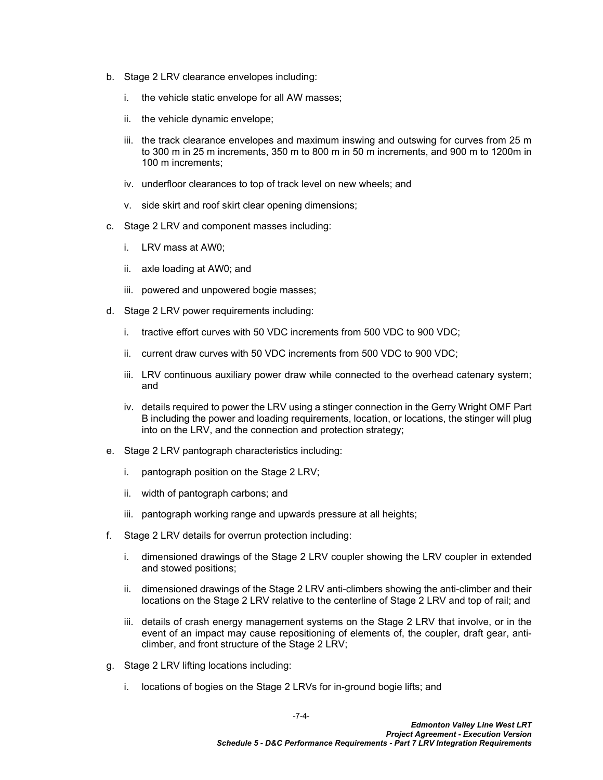- b. Stage 2 LRV clearance envelopes including:
	- i. the vehicle static envelope for all AW masses;
	- ii. the vehicle dynamic envelope;
	- iii. the track clearance envelopes and maximum inswing and outswing for curves from 25 m to 300 m in 25 m increments, 350 m to 800 m in 50 m increments, and 900 m to 1200m in 100 m increments;
	- iv. underfloor clearances to top of track level on new wheels; and
	- v. side skirt and roof skirt clear opening dimensions;
- c. Stage 2 LRV and component masses including:
	- i. LRV mass at AW0;
	- ii. axle loading at AW0; and
	- iii. powered and unpowered bogie masses;
- d. Stage 2 LRV power requirements including:
	- i. tractive effort curves with 50 VDC increments from 500 VDC to 900 VDC;
	- ii. current draw curves with 50 VDC increments from 500 VDC to 900 VDC;
	- iii. LRV continuous auxiliary power draw while connected to the overhead catenary system; and
	- iv. details required to power the LRV using a stinger connection in the Gerry Wright OMF Part B including the power and loading requirements, location, or locations, the stinger will plug into on the LRV, and the connection and protection strategy;
- e. Stage 2 LRV pantograph characteristics including:
	- i. pantograph position on the Stage 2 LRV;
	- ii. width of pantograph carbons; and
	- iii. pantograph working range and upwards pressure at all heights;
- f. Stage 2 LRV details for overrun protection including:
	- i. dimensioned drawings of the Stage 2 LRV coupler showing the LRV coupler in extended and stowed positions;
	- ii. dimensioned drawings of the Stage 2 LRV anti-climbers showing the anti-climber and their locations on the Stage 2 LRV relative to the centerline of Stage 2 LRV and top of rail; and
	- iii. details of crash energy management systems on the Stage 2 LRV that involve, or in the event of an impact may cause repositioning of elements of, the coupler, draft gear, anticlimber, and front structure of the Stage 2 LRV;
- g. Stage 2 LRV lifting locations including:
	- i. locations of bogies on the Stage 2 LRVs for in-ground bogie lifts; and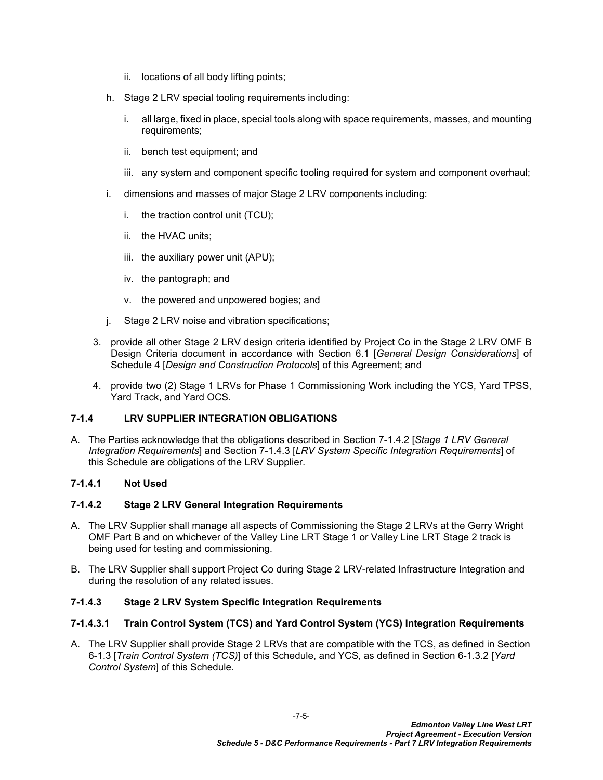- ii. locations of all body lifting points;
- h. Stage 2 LRV special tooling requirements including:
	- i. all large, fixed in place, special tools along with space requirements, masses, and mounting requirements;
	- ii. bench test equipment; and
	- iii. any system and component specific tooling required for system and component overhaul;
- i. dimensions and masses of major Stage 2 LRV components including:
	- i. the traction control unit (TCU);
	- ii. the HVAC units;
	- iii. the auxiliary power unit (APU);
	- iv. the pantograph; and
	- v. the powered and unpowered bogies; and
- j. Stage 2 LRV noise and vibration specifications;
- 3. provide all other Stage 2 LRV design criteria identified by Project Co in the Stage 2 LRV OMF B Design Criteria document in accordance with Section 6.1 [*General Design Considerations*] of Schedule 4 [*Design and Construction Protocols*] of this Agreement; and
- 4. provide two (2) Stage 1 LRVs for Phase 1 Commissioning Work including the YCS, Yard TPSS, Yard Track, and Yard OCS.

#### <span id="page-6-0"></span>**7-1.4 LRV SUPPLIER INTEGRATION OBLIGATIONS**

A. The Parties acknowledge that the obligations described in Section 7-1.4.2 [*Stage 1 LRV General Integration Requirements*] and Section 7-1.4.3 [*LRV System Specific Integration Requirements*] of this Schedule are obligations of the LRV Supplier.

### **7-1.4.1 Not Used**

#### **7-1.4.2 Stage 2 LRV General Integration Requirements**

- A. The LRV Supplier shall manage all aspects of Commissioning the Stage 2 LRVs at the Gerry Wright OMF Part B and on whichever of the Valley Line LRT Stage 1 or Valley Line LRT Stage 2 track is being used for testing and commissioning.
- B. The LRV Supplier shall support Project Co during Stage 2 LRV-related Infrastructure Integration and during the resolution of any related issues.

# **7-1.4.3 Stage 2 LRV System Specific Integration Requirements**

# **7-1.4.3.1 Train Control System (TCS) and Yard Control System (YCS) Integration Requirements**

A. The LRV Supplier shall provide Stage 2 LRVs that are compatible with the TCS, as defined in Section 6-1.3 [*Train Control System (TCS)*] of this Schedule, and YCS, as defined in Section 6-1.3.2 [*Yard Control System*] of this Schedule.